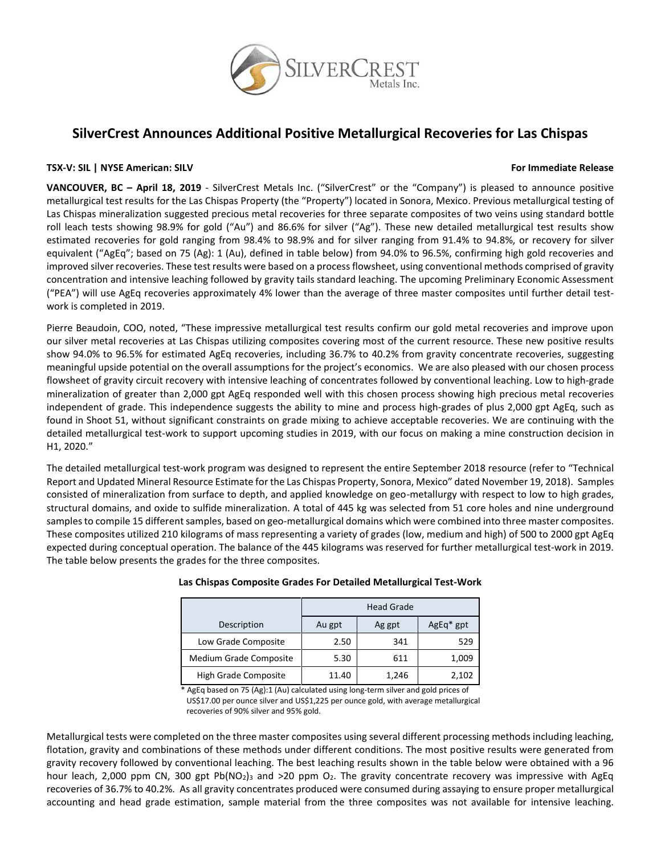

# **SilverCrest Announces Additional Positive Metallurgical Recoveries for Las Chispas**

## **TSX-V: SIL | NYSE American: SILV For Immediate Release**

**VANCOUVER, BC – April 18, 2019** - SilverCrest Metals Inc. ("SilverCrest" or the "Company") is pleased to announce positive metallurgical test results for the Las Chispas Property (the "Property") located in Sonora, Mexico. Previous metallurgical testing of Las Chispas mineralization suggested precious metal recoveries for three separate composites of two veins using standard bottle roll leach tests showing 98.9% for gold ("Au") and 86.6% for silver ("Ag"). These new detailed metallurgical test results show estimated recoveries for gold ranging from 98.4% to 98.9% and for silver ranging from 91.4% to 94.8%, or recovery for silver equivalent ("AgEq"; based on 75 (Ag): 1 (Au), defined in table below) from 94.0% to 96.5%, confirming high gold recoveries and improved silver recoveries. These test results were based on a process flowsheet, using conventional methods comprised of gravity concentration and intensive leaching followed by gravity tails standard leaching. The upcoming Preliminary Economic Assessment ("PEA") will use AgEq recoveries approximately 4% lower than the average of three master composites until further detail testwork is completed in 2019.

Pierre Beaudoin, COO, noted, "These impressive metallurgical test results confirm our gold metal recoveries and improve upon our silver metal recoveries at Las Chispas utilizing composites covering most of the current resource. These new positive results show 94.0% to 96.5% for estimated AgEq recoveries, including 36.7% to 40.2% from gravity concentrate recoveries, suggesting meaningful upside potential on the overall assumptions for the project's economics. We are also pleased with our chosen process flowsheet of gravity circuit recovery with intensive leaching of concentrates followed by conventional leaching. Low to high-grade mineralization of greater than 2,000 gpt AgEq responded well with this chosen process showing high precious metal recoveries independent of grade. This independence suggests the ability to mine and process high-grades of plus 2,000 gpt AgEq, such as found in Shoot 51, without significant constraints on grade mixing to achieve acceptable recoveries. We are continuing with the detailed metallurgical test-work to support upcoming studies in 2019, with our focus on making a mine construction decision in H1, 2020."

The detailed metallurgical test-work program was designed to represent the entire September 2018 resource (refer to "Technical Report and Updated Mineral Resource Estimate for the Las Chispas Property, Sonora, Mexico" dated November 19, 2018). Samples consisted of mineralization from surface to depth, and applied knowledge on geo-metallurgy with respect to low to high grades, structural domains, and oxide to sulfide mineralization. A total of 445 kg was selected from 51 core holes and nine underground samplesto compile 15 different samples, based on geo-metallurgical domains which were combined into three master composites. These composites utilized 210 kilograms of mass representing a variety of grades (low, medium and high) of 500 to 2000 gpt AgEq expected during conceptual operation. The balance of the 445 kilograms was reserved for further metallurgical test-work in 2019. The table below presents the grades for the three composites.

|                             | <b>Head Grade</b> |        |             |  |  |
|-----------------------------|-------------------|--------|-------------|--|--|
| Description                 | Au gpt            | Ag gpt | $AgEq* gpt$ |  |  |
| Low Grade Composite         | 2.50              | 341    | 529         |  |  |
| Medium Grade Composite      | 5.30              | 611    | 1,009       |  |  |
| <b>High Grade Composite</b> | 11.40             | 1,246  | 2,102       |  |  |

## **Las Chispas Composite Grades For Detailed Metallurgical Test-Work**

 \* AgEq based on 75 (Ag):1 (Au) calculated using long-term silver and gold prices of US\$17.00 per ounce silver and US\$1,225 per ounce gold, with average metallurgical recoveries of 90% silver and 95% gold.

Metallurgical tests were completed on the three master composites using several different processing methods including leaching, flotation, gravity and combinations of these methods under different conditions. The most positive results were generated from gravity recovery followed by conventional leaching. The best leaching results shown in the table below were obtained with a 96 hour leach, 2,000 ppm CN, 300 gpt Pb(NO<sub>2</sub>)<sub>3</sub> and >20 ppm O<sub>2</sub>. The gravity concentrate recovery was impressive with AgEq recoveries of 36.7% to 40.2%. As all gravity concentrates produced were consumed during assaying to ensure proper metallurgical accounting and head grade estimation, sample material from the three composites was not available for intensive leaching.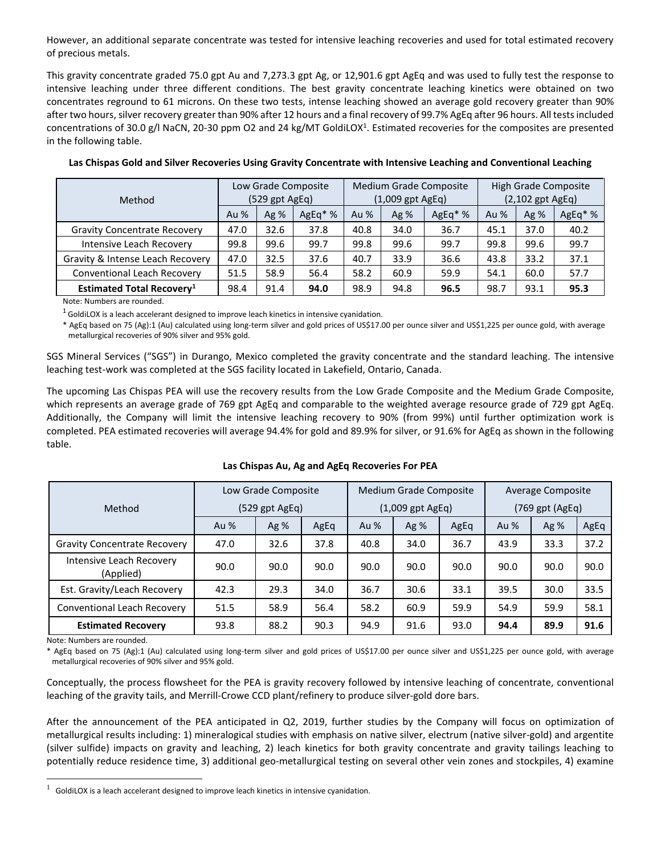However, an additional separate concentrate was tested for intensive leaching recoveries and used for total estimated recovery of precious metals.

This gravity concentrate graded 75.0 gpt Au and 7,273.3 gpt Ag, or 12,901.6 gpt AgEq and was used to fully test the response to intensive leaching under three different conditions. The best gravity concentrate leaching kinetics were obtained on two concentrates reground to 61 microns. On these two tests, intense leaching showed an average gold recovery greater than 90% after two hours, silver recovery greater than 90% after 12 hours and a final recovery of 99.7% AgEq after 96 hours. All tests included concentrations of 30.0 g/l NaCN, 20-30 ppm O2 and 24 kg/MT GoldiLOX<sup>1</sup>. Estimated recoveries for the composites are presented in the following table.

|                                              | Low Grade Composite |      |          | <b>Medium Grade Composite</b> |        |          | High Grade Composite |      |        |
|----------------------------------------------|---------------------|------|----------|-------------------------------|--------|----------|----------------------|------|--------|
| Method                                       | $(529$ gpt AgEq)    |      |          | $(1,009$ gpt AgEq)            |        |          | $(2,102$ gpt AgEq)   |      |        |
|                                              | Au $%$              | Ag%  | $AgEq*%$ | Au $%$                        | Ag $%$ | $AgEq*%$ | Au %                 | Ag%  | AgEq*% |
| <b>Gravity Concentrate Recovery</b>          | 47.0                | 32.6 | 37.8     | 40.8                          | 34.0   | 36.7     | 45.1                 | 37.0 | 40.2   |
| Intensive Leach Recovery                     | 99.8                | 99.6 | 99.7     | 99.8                          | 99.6   | 99.7     | 99.8                 | 99.6 | 99.7   |
| Gravity & Intense Leach Recovery             | 47.0                | 32.5 | 37.6     | 40.7                          | 33.9   | 36.6     | 43.8                 | 33.2 | 37.1   |
| <b>Conventional Leach Recovery</b>           | 51.5                | 58.9 | 56.4     | 58.2                          | 60.9   | 59.9     | 54.1                 | 60.0 | 57.7   |
| <b>Estimated Total Recovery</b> <sup>1</sup> | 98.4                | 91.4 | 94.0     | 98.9                          | 94.8   | 96.5     | 98.7                 | 93.1 | 95.3   |

**Las Chispas Gold and Silver Recoveries Using Gravity Concentrate with Intensive Leaching and Conventional Leaching**

Note: Numbers are rounded.

 $1$  GoldiLOX is a leach accelerant designed to improve leach kinetics in intensive cyanidation.

\* AgEq based on 75 (Ag):1 (Au) calculated using long-term silver and gold prices of US\$17.00 per ounce silver and US\$1,225 per ounce gold, with average metallurgical recoveries of 90% silver and 95% gold.

SGS Mineral Services ("SGS") in Durango, Mexico completed the gravity concentrate and the standard leaching. The intensive leaching test-work was completed at the SGS facility located in Lakefield, Ontario, Canada.

The upcoming Las Chispas PEA will use the recovery results from the Low Grade Composite and the Medium Grade Composite, which represents an average grade of 769 gpt AgEq and comparable to the weighted average resource grade of 729 gpt AgEq. Additionally, the Company will limit the intensive leaching recovery to 90% (from 99%) until further optimization work is completed. PEA estimated recoveries will average 94.4% for gold and 89.9% for silver, or 91.6% for AgEq as shown in the following table.

|                                       | Low Grade Composite |        |                    | <b>Medium Grade Composite</b> |      |                 | Average Composite |        |      |
|---------------------------------------|---------------------|--------|--------------------|-------------------------------|------|-----------------|-------------------|--------|------|
| Method                                | (529 gpt AgEq)      |        | $(1,009$ gpt AgEq) |                               |      | (769 gpt (AgEq) |                   |        |      |
|                                       | Au %                | Ag $%$ | AgEq               | Au %                          | Ag % | AgEq            | Au %              | Ag $%$ | AgEq |
| <b>Gravity Concentrate Recovery</b>   | 47.0                | 32.6   | 37.8               | 40.8                          | 34.0 | 36.7            | 43.9              | 33.3   | 37.2 |
| Intensive Leach Recovery<br>(Applied) | 90.0                | 90.0   | 90.0               | 90.0                          | 90.0 | 90.0            | 90.0              | 90.0   | 90.0 |
| Est. Gravity/Leach Recovery           | 42.3                | 29.3   | 34.0               | 36.7                          | 30.6 | 33.1            | 39.5              | 30.0   | 33.5 |
| Conventional Leach Recovery           | 51.5                | 58.9   | 56.4               | 58.2                          | 60.9 | 59.9            | 54.9              | 59.9   | 58.1 |
| <b>Estimated Recovery</b>             | 93.8                | 88.2   | 90.3               | 94.9                          | 91.6 | 93.0            | 94.4              | 89.9   | 91.6 |

## **Las Chispas Au, Ag and AgEq Recoveries For PEA**

Note: Numbers are rounded.

 $\overline{a}$ 

\* AgEq based on 75 (Ag):1 (Au) calculated using long-term silver and gold prices of US\$17.00 per ounce silver and US\$1,225 per ounce gold, with average metallurgical recoveries of 90% silver and 95% gold.

Conceptually, the process flowsheet for the PEA is gravity recovery followed by intensive leaching of concentrate, conventional leaching of the gravity tails, and Merrill-Crowe CCD plant/refinery to produce silver-gold dore bars.

After the announcement of the PEA anticipated in Q2, 2019, further studies by the Company will focus on optimization of metallurgical results including: 1) mineralogical studies with emphasis on native silver, electrum (native silver-gold) and argentite (silver sulfide) impacts on gravity and leaching, 2) leach kinetics for both gravity concentrate and gravity tailings leaching to potentially reduce residence time, 3) additional geo-metallurgical testing on several other vein zones and stockpiles, 4) examine

 $<sup>1</sup>$  GoldiLOX is a leach accelerant designed to improve leach kinetics in intensive cyanidation.</sup>